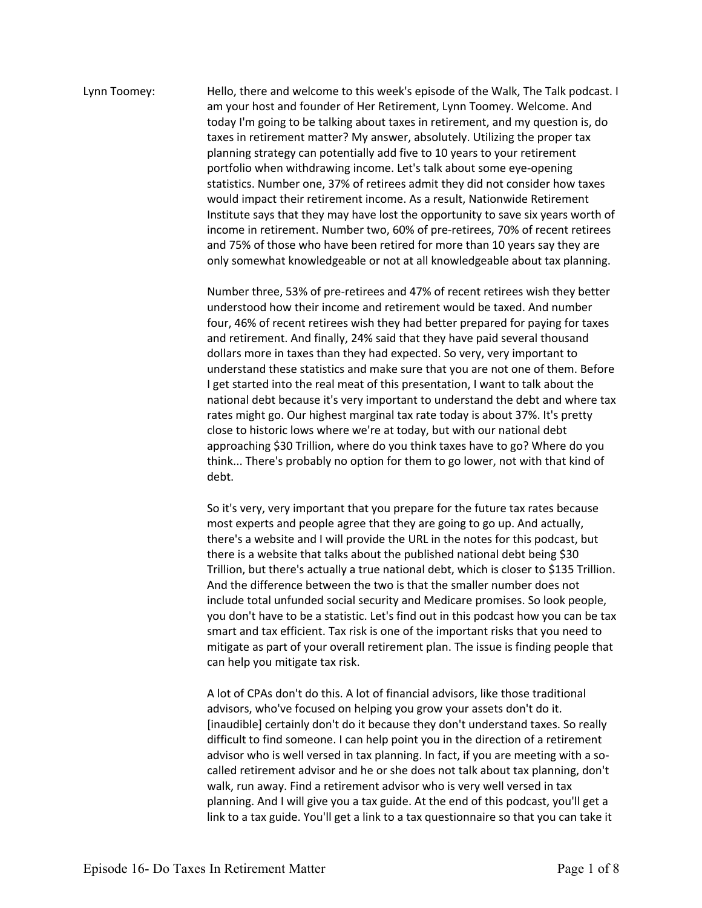## Lynn Toomey: Hello, there and welcome to this week's episode of the Walk, The Talk podcast. I am your host and founder of Her Retirement, Lynn Toomey. Welcome. And today I'm going to be talking about taxes in retirement, and my question is, do taxes in retirement matter? My answer, absolutely. Utilizing the proper tax planning strategy can potentially add five to 10 years to your retirement portfolio when withdrawing income. Let's talk about some eye-opening statistics. Number one, 37% of retirees admit they did not consider how taxes would impact their retirement income. As a result, Nationwide Retirement Institute says that they may have lost the opportunity to save six years worth of income in retirement. Number two, 60% of pre-retirees, 70% of recent retirees and 75% of those who have been retired for more than 10 years say they are only somewhat knowledgeable or not at all knowledgeable about tax planning.

Number three, 53% of pre-retirees and 47% of recent retirees wish they better understood how their income and retirement would be taxed. And number four, 46% of recent retirees wish they had better prepared for paying for taxes and retirement. And finally, 24% said that they have paid several thousand dollars more in taxes than they had expected. So very, very important to understand these statistics and make sure that you are not one of them. Before I get started into the real meat of this presentation, I want to talk about the national debt because it's very important to understand the debt and where tax rates might go. Our highest marginal tax rate today is about 37%. It's pretty close to historic lows where we're at today, but with our national debt approaching \$30 Trillion, where do you think taxes have to go? Where do you think... There's probably no option for them to go lower, not with that kind of debt.

So it's very, very important that you prepare for the future tax rates because most experts and people agree that they are going to go up. And actually, there's a website and I will provide the URL in the notes for this podcast, but there is a website that talks about the published national debt being \$30 Trillion, but there's actually a true national debt, which is closer to \$135 Trillion. And the difference between the two is that the smaller number does not include total unfunded social security and Medicare promises. So look people, you don't have to be a statistic. Let's find out in this podcast how you can be tax smart and tax efficient. Tax risk is one of the important risks that you need to mitigate as part of your overall retirement plan. The issue is finding people that can help you mitigate tax risk.

A lot of CPAs don't do this. A lot of financial advisors, like those traditional advisors, who've focused on helping you grow your assets don't do it. [inaudible] certainly don't do it because they don't understand taxes. So really difficult to find someone. I can help point you in the direction of a retirement advisor who is well versed in tax planning. In fact, if you are meeting with a socalled retirement advisor and he or she does not talk about tax planning, don't walk, run away. Find a retirement advisor who is very well versed in tax planning. And I will give you a tax guide. At the end of this podcast, you'll get a link to a tax guide. You'll get a link to a tax questionnaire so that you can take it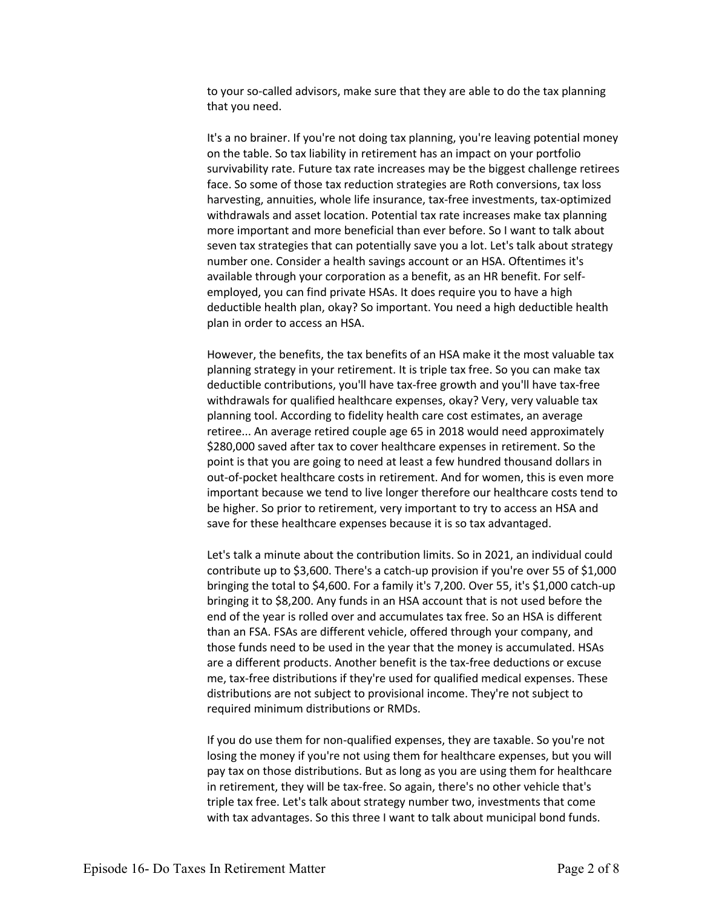to your so-called advisors, make sure that they are able to do the tax planning that you need.

It's a no brainer. If you're not doing tax planning, you're leaving potential money on the table. So tax liability in retirement has an impact on your portfolio survivability rate. Future tax rate increases may be the biggest challenge retirees face. So some of those tax reduction strategies are Roth conversions, tax loss harvesting, annuities, whole life insurance, tax-free investments, tax-optimized withdrawals and asset location. Potential tax rate increases make tax planning more important and more beneficial than ever before. So I want to talk about seven tax strategies that can potentially save you a lot. Let's talk about strategy number one. Consider a health savings account or an HSA. Oftentimes it's available through your corporation as a benefit, as an HR benefit. For selfemployed, you can find private HSAs. It does require you to have a high deductible health plan, okay? So important. You need a high deductible health plan in order to access an HSA.

However, the benefits, the tax benefits of an HSA make it the most valuable tax planning strategy in your retirement. It is triple tax free. So you can make tax deductible contributions, you'll have tax-free growth and you'll have tax-free withdrawals for qualified healthcare expenses, okay? Very, very valuable tax planning tool. According to fidelity health care cost estimates, an average retiree... An average retired couple age 65 in 2018 would need approximately \$280,000 saved after tax to cover healthcare expenses in retirement. So the point is that you are going to need at least a few hundred thousand dollars in out-of-pocket healthcare costs in retirement. And for women, this is even more important because we tend to live longer therefore our healthcare costs tend to be higher. So prior to retirement, very important to try to access an HSA and save for these healthcare expenses because it is so tax advantaged.

Let's talk a minute about the contribution limits. So in 2021, an individual could contribute up to \$3,600. There's a catch-up provision if you're over 55 of \$1,000 bringing the total to \$4,600. For a family it's 7,200. Over 55, it's \$1,000 catch-up bringing it to \$8,200. Any funds in an HSA account that is not used before the end of the year is rolled over and accumulates tax free. So an HSA is different than an FSA. FSAs are different vehicle, offered through your company, and those funds need to be used in the year that the money is accumulated. HSAs are a different products. Another benefit is the tax-free deductions or excuse me, tax-free distributions if they're used for qualified medical expenses. These distributions are not subject to provisional income. They're not subject to required minimum distributions or RMDs.

If you do use them for non-qualified expenses, they are taxable. So you're not losing the money if you're not using them for healthcare expenses, but you will pay tax on those distributions. But as long as you are using them for healthcare in retirement, they will be tax-free. So again, there's no other vehicle that's triple tax free. Let's talk about strategy number two, investments that come with tax advantages. So this three I want to talk about municipal bond funds.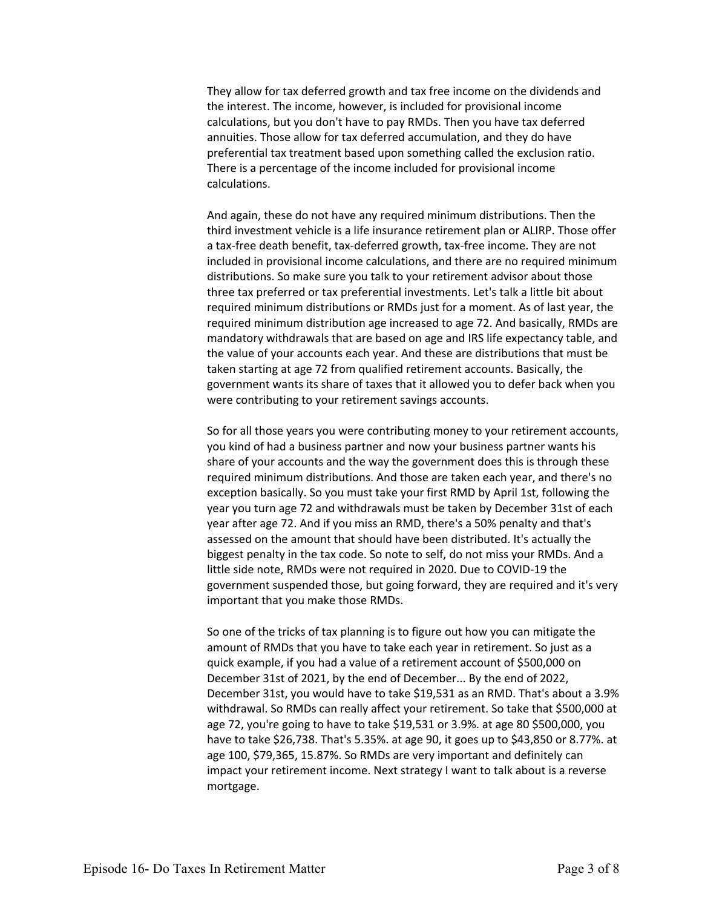They allow for tax deferred growth and tax free income on the dividends and the interest. The income, however, is included for provisional income calculations, but you don't have to pay RMDs. Then you have tax deferred annuities. Those allow for tax deferred accumulation, and they do have preferential tax treatment based upon something called the exclusion ratio. There is a percentage of the income included for provisional income calculations.

And again, these do not have any required minimum distributions. Then the third investment vehicle is a life insurance retirement plan or ALIRP. Those offer a tax-free death benefit, tax-deferred growth, tax-free income. They are not included in provisional income calculations, and there are no required minimum distributions. So make sure you talk to your retirement advisor about those three tax preferred or tax preferential investments. Let's talk a little bit about required minimum distributions or RMDs just for a moment. As of last year, the required minimum distribution age increased to age 72. And basically, RMDs are mandatory withdrawals that are based on age and IRS life expectancy table, and the value of your accounts each year. And these are distributions that must be taken starting at age 72 from qualified retirement accounts. Basically, the government wants its share of taxes that it allowed you to defer back when you were contributing to your retirement savings accounts.

So for all those years you were contributing money to your retirement accounts, you kind of had a business partner and now your business partner wants his share of your accounts and the way the government does this is through these required minimum distributions. And those are taken each year, and there's no exception basically. So you must take your first RMD by April 1st, following the year you turn age 72 and withdrawals must be taken by December 31st of each year after age 72. And if you miss an RMD, there's a 50% penalty and that's assessed on the amount that should have been distributed. It's actually the biggest penalty in the tax code. So note to self, do not miss your RMDs. And a little side note, RMDs were not required in 2020. Due to COVID-19 the government suspended those, but going forward, they are required and it's very important that you make those RMDs.

So one of the tricks of tax planning is to figure out how you can mitigate the amount of RMDs that you have to take each year in retirement. So just as a quick example, if you had a value of a retirement account of \$500,000 on December 31st of 2021, by the end of December... By the end of 2022, December 31st, you would have to take \$19,531 as an RMD. That's about a 3.9% withdrawal. So RMDs can really affect your retirement. So take that \$500,000 at age 72, you're going to have to take \$19,531 or 3.9%. at age 80 \$500,000, you have to take \$26,738. That's 5.35%. at age 90, it goes up to \$43,850 or 8.77%. at age 100, \$79,365, 15.87%. So RMDs are very important and definitely can impact your retirement income. Next strategy I want to talk about is a reverse mortgage.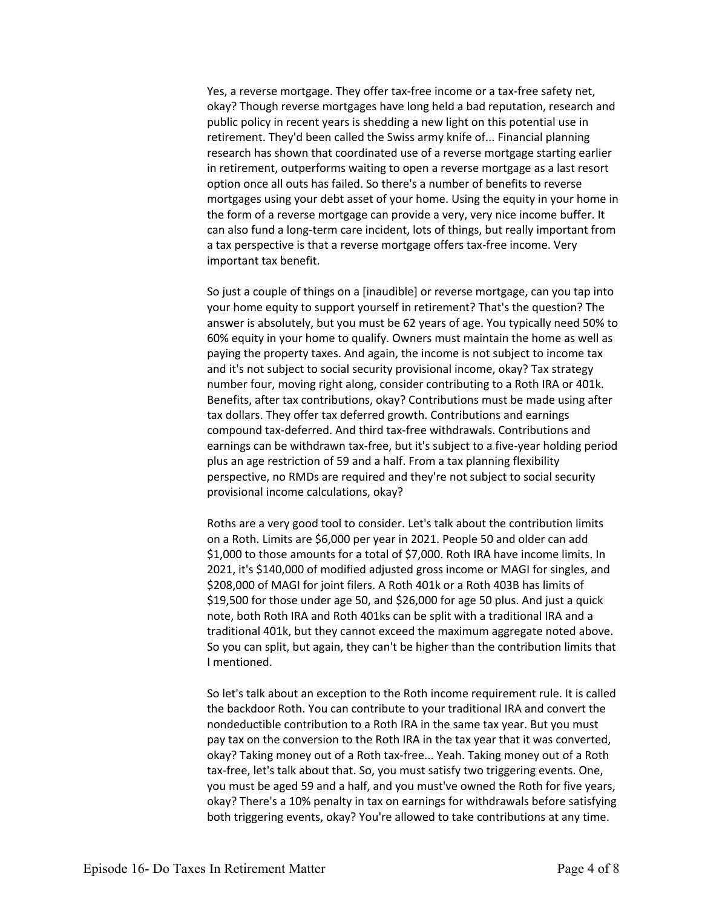Yes, a reverse mortgage. They offer tax-free income or a tax-free safety net, okay? Though reverse mortgages have long held a bad reputation, research and public policy in recent years is shedding a new light on this potential use in retirement. They'd been called the Swiss army knife of... Financial planning research has shown that coordinated use of a reverse mortgage starting earlier in retirement, outperforms waiting to open a reverse mortgage as a last resort option once all outs has failed. So there's a number of benefits to reverse mortgages using your debt asset of your home. Using the equity in your home in the form of a reverse mortgage can provide a very, very nice income buffer. It can also fund a long-term care incident, lots of things, but really important from a tax perspective is that a reverse mortgage offers tax-free income. Very important tax benefit.

So just a couple of things on a [inaudible] or reverse mortgage, can you tap into your home equity to support yourself in retirement? That's the question? The answer is absolutely, but you must be 62 years of age. You typically need 50% to 60% equity in your home to qualify. Owners must maintain the home as well as paying the property taxes. And again, the income is not subject to income tax and it's not subject to social security provisional income, okay? Tax strategy number four, moving right along, consider contributing to a Roth IRA or 401k. Benefits, after tax contributions, okay? Contributions must be made using after tax dollars. They offer tax deferred growth. Contributions and earnings compound tax-deferred. And third tax-free withdrawals. Contributions and earnings can be withdrawn tax-free, but it's subject to a five-year holding period plus an age restriction of 59 and a half. From a tax planning flexibility perspective, no RMDs are required and they're not subject to social security provisional income calculations, okay?

Roths are a very good tool to consider. Let's talk about the contribution limits on a Roth. Limits are \$6,000 per year in 2021. People 50 and older can add \$1,000 to those amounts for a total of \$7,000. Roth IRA have income limits. In 2021, it's \$140,000 of modified adjusted gross income or MAGI for singles, and \$208,000 of MAGI for joint filers. A Roth 401k or a Roth 403B has limits of \$19,500 for those under age 50, and \$26,000 for age 50 plus. And just a quick note, both Roth IRA and Roth 401ks can be split with a traditional IRA and a traditional 401k, but they cannot exceed the maximum aggregate noted above. So you can split, but again, they can't be higher than the contribution limits that I mentioned.

So let's talk about an exception to the Roth income requirement rule. It is called the backdoor Roth. You can contribute to your traditional IRA and convert the nondeductible contribution to a Roth IRA in the same tax year. But you must pay tax on the conversion to the Roth IRA in the tax year that it was converted, okay? Taking money out of a Roth tax-free... Yeah. Taking money out of a Roth tax-free, let's talk about that. So, you must satisfy two triggering events. One, you must be aged 59 and a half, and you must've owned the Roth for five years, okay? There's a 10% penalty in tax on earnings for withdrawals before satisfying both triggering events, okay? You're allowed to take contributions at any time.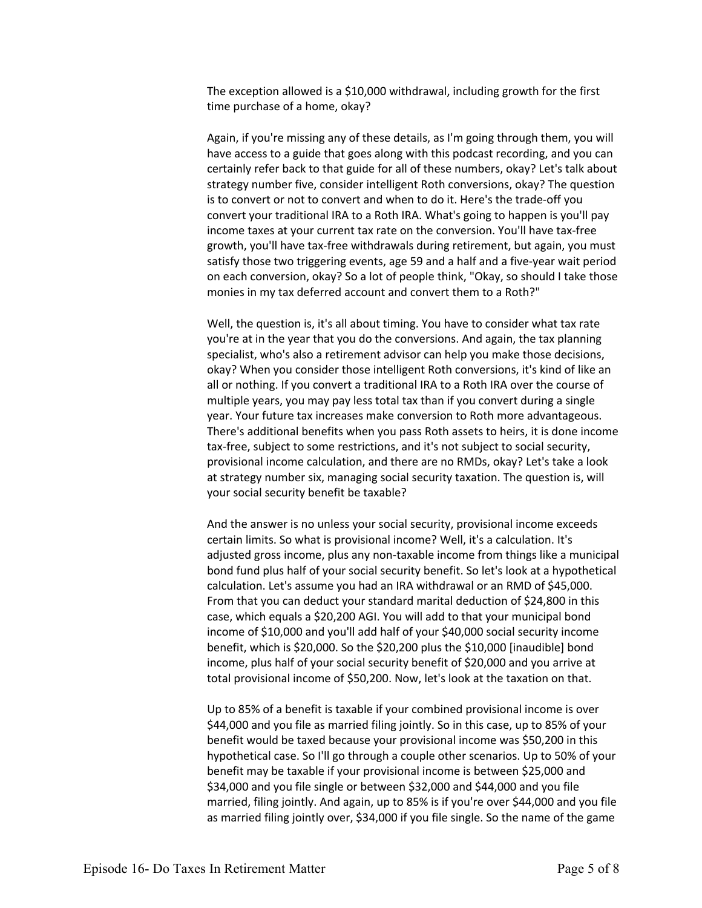The exception allowed is a \$10,000 withdrawal, including growth for the first time purchase of a home, okay?

Again, if you're missing any of these details, as I'm going through them, you will have access to a guide that goes along with this podcast recording, and you can certainly refer back to that guide for all of these numbers, okay? Let's talk about strategy number five, consider intelligent Roth conversions, okay? The question is to convert or not to convert and when to do it. Here's the trade-off you convert your traditional IRA to a Roth IRA. What's going to happen is you'll pay income taxes at your current tax rate on the conversion. You'll have tax-free growth, you'll have tax-free withdrawals during retirement, but again, you must satisfy those two triggering events, age 59 and a half and a five-year wait period on each conversion, okay? So a lot of people think, "Okay, so should I take those monies in my tax deferred account and convert them to a Roth?"

Well, the question is, it's all about timing. You have to consider what tax rate you're at in the year that you do the conversions. And again, the tax planning specialist, who's also a retirement advisor can help you make those decisions, okay? When you consider those intelligent Roth conversions, it's kind of like an all or nothing. If you convert a traditional IRA to a Roth IRA over the course of multiple years, you may pay less total tax than if you convert during a single year. Your future tax increases make conversion to Roth more advantageous. There's additional benefits when you pass Roth assets to heirs, it is done income tax-free, subject to some restrictions, and it's not subject to social security, provisional income calculation, and there are no RMDs, okay? Let's take a look at strategy number six, managing social security taxation. The question is, will your social security benefit be taxable?

And the answer is no unless your social security, provisional income exceeds certain limits. So what is provisional income? Well, it's a calculation. It's adjusted gross income, plus any non-taxable income from things like a municipal bond fund plus half of your social security benefit. So let's look at a hypothetical calculation. Let's assume you had an IRA withdrawal or an RMD of \$45,000. From that you can deduct your standard marital deduction of \$24,800 in this case, which equals a \$20,200 AGI. You will add to that your municipal bond income of \$10,000 and you'll add half of your \$40,000 social security income benefit, which is \$20,000. So the \$20,200 plus the \$10,000 [inaudible] bond income, plus half of your social security benefit of \$20,000 and you arrive at total provisional income of \$50,200. Now, let's look at the taxation on that.

Up to 85% of a benefit is taxable if your combined provisional income is over \$44,000 and you file as married filing jointly. So in this case, up to 85% of your benefit would be taxed because your provisional income was \$50,200 in this hypothetical case. So I'll go through a couple other scenarios. Up to 50% of your benefit may be taxable if your provisional income is between \$25,000 and \$34,000 and you file single or between \$32,000 and \$44,000 and you file married, filing jointly. And again, up to 85% is if you're over \$44,000 and you file as married filing jointly over, \$34,000 if you file single. So the name of the game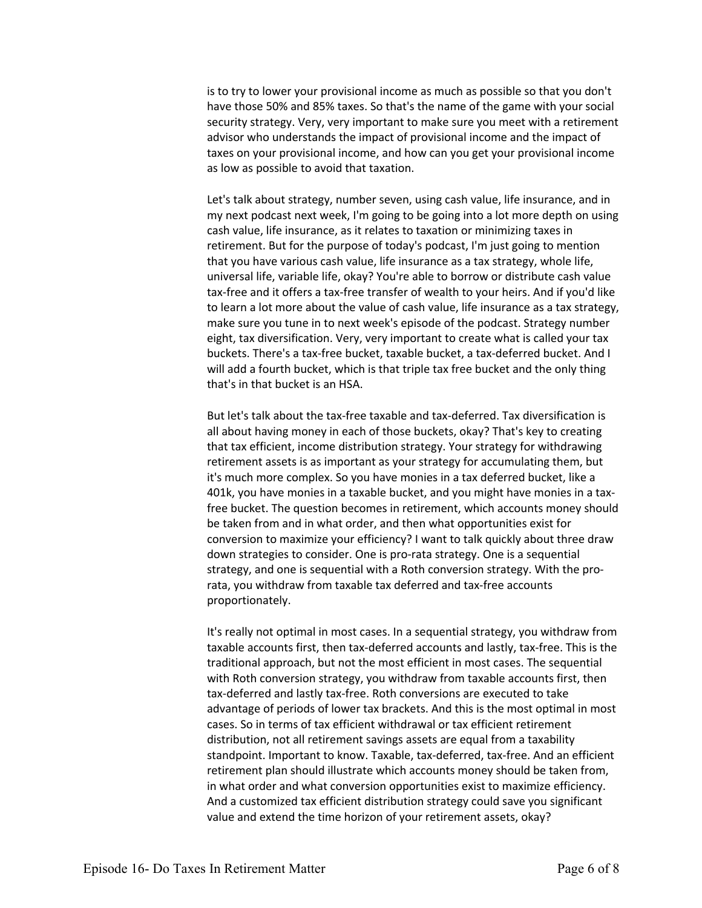is to try to lower your provisional income as much as possible so that you don't have those 50% and 85% taxes. So that's the name of the game with your social security strategy. Very, very important to make sure you meet with a retirement advisor who understands the impact of provisional income and the impact of taxes on your provisional income, and how can you get your provisional income as low as possible to avoid that taxation.

Let's talk about strategy, number seven, using cash value, life insurance, and in my next podcast next week, I'm going to be going into a lot more depth on using cash value, life insurance, as it relates to taxation or minimizing taxes in retirement. But for the purpose of today's podcast, I'm just going to mention that you have various cash value, life insurance as a tax strategy, whole life, universal life, variable life, okay? You're able to borrow or distribute cash value tax-free and it offers a tax-free transfer of wealth to your heirs. And if you'd like to learn a lot more about the value of cash value, life insurance as a tax strategy, make sure you tune in to next week's episode of the podcast. Strategy number eight, tax diversification. Very, very important to create what is called your tax buckets. There's a tax-free bucket, taxable bucket, a tax-deferred bucket. And I will add a fourth bucket, which is that triple tax free bucket and the only thing that's in that bucket is an HSA.

But let's talk about the tax-free taxable and tax-deferred. Tax diversification is all about having money in each of those buckets, okay? That's key to creating that tax efficient, income distribution strategy. Your strategy for withdrawing retirement assets is as important as your strategy for accumulating them, but it's much more complex. So you have monies in a tax deferred bucket, like a 401k, you have monies in a taxable bucket, and you might have monies in a taxfree bucket. The question becomes in retirement, which accounts money should be taken from and in what order, and then what opportunities exist for conversion to maximize your efficiency? I want to talk quickly about three draw down strategies to consider. One is pro-rata strategy. One is a sequential strategy, and one is sequential with a Roth conversion strategy. With the prorata, you withdraw from taxable tax deferred and tax-free accounts proportionately.

It's really not optimal in most cases. In a sequential strategy, you withdraw from taxable accounts first, then tax-deferred accounts and lastly, tax-free. This is the traditional approach, but not the most efficient in most cases. The sequential with Roth conversion strategy, you withdraw from taxable accounts first, then tax-deferred and lastly tax-free. Roth conversions are executed to take advantage of periods of lower tax brackets. And this is the most optimal in most cases. So in terms of tax efficient withdrawal or tax efficient retirement distribution, not all retirement savings assets are equal from a taxability standpoint. Important to know. Taxable, tax-deferred, tax-free. And an efficient retirement plan should illustrate which accounts money should be taken from, in what order and what conversion opportunities exist to maximize efficiency. And a customized tax efficient distribution strategy could save you significant value and extend the time horizon of your retirement assets, okay?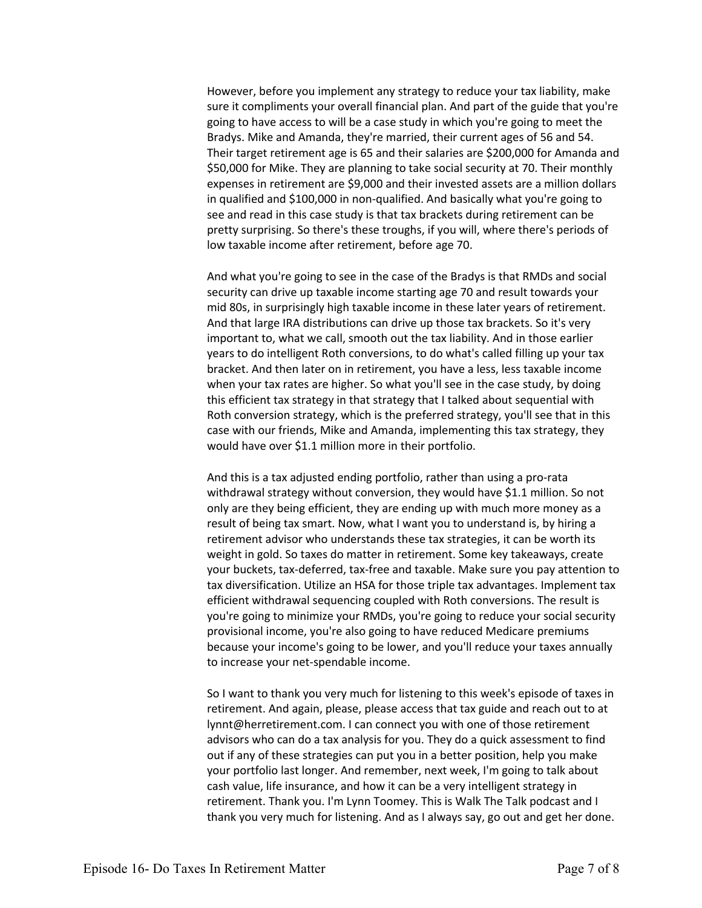However, before you implement any strategy to reduce your tax liability, make sure it compliments your overall financial plan. And part of the guide that you're going to have access to will be a case study in which you're going to meet the Bradys. Mike and Amanda, they're married, their current ages of 56 and 54. Their target retirement age is 65 and their salaries are \$200,000 for Amanda and \$50,000 for Mike. They are planning to take social security at 70. Their monthly expenses in retirement are \$9,000 and their invested assets are a million dollars in qualified and \$100,000 in non-qualified. And basically what you're going to see and read in this case study is that tax brackets during retirement can be pretty surprising. So there's these troughs, if you will, where there's periods of low taxable income after retirement, before age 70.

And what you're going to see in the case of the Bradys is that RMDs and social security can drive up taxable income starting age 70 and result towards your mid 80s, in surprisingly high taxable income in these later years of retirement. And that large IRA distributions can drive up those tax brackets. So it's very important to, what we call, smooth out the tax liability. And in those earlier years to do intelligent Roth conversions, to do what's called filling up your tax bracket. And then later on in retirement, you have a less, less taxable income when your tax rates are higher. So what you'll see in the case study, by doing this efficient tax strategy in that strategy that I talked about sequential with Roth conversion strategy, which is the preferred strategy, you'll see that in this case with our friends, Mike and Amanda, implementing this tax strategy, they would have over \$1.1 million more in their portfolio.

And this is a tax adjusted ending portfolio, rather than using a pro-rata withdrawal strategy without conversion, they would have \$1.1 million. So not only are they being efficient, they are ending up with much more money as a result of being tax smart. Now, what I want you to understand is, by hiring a retirement advisor who understands these tax strategies, it can be worth its weight in gold. So taxes do matter in retirement. Some key takeaways, create your buckets, tax-deferred, tax-free and taxable. Make sure you pay attention to tax diversification. Utilize an HSA for those triple tax advantages. Implement tax efficient withdrawal sequencing coupled with Roth conversions. The result is you're going to minimize your RMDs, you're going to reduce your social security provisional income, you're also going to have reduced Medicare premiums because your income's going to be lower, and you'll reduce your taxes annually to increase your net-spendable income.

So I want to thank you very much for listening to this week's episode of taxes in retirement. And again, please, please access that tax guide and reach out to at lynnt@herretirement.com. I can connect you with one of those retirement advisors who can do a tax analysis for you. They do a quick assessment to find out if any of these strategies can put you in a better position, help you make your portfolio last longer. And remember, next week, I'm going to talk about cash value, life insurance, and how it can be a very intelligent strategy in retirement. Thank you. I'm Lynn Toomey. This is Walk The Talk podcast and I thank you very much for listening. And as I always say, go out and get her done.